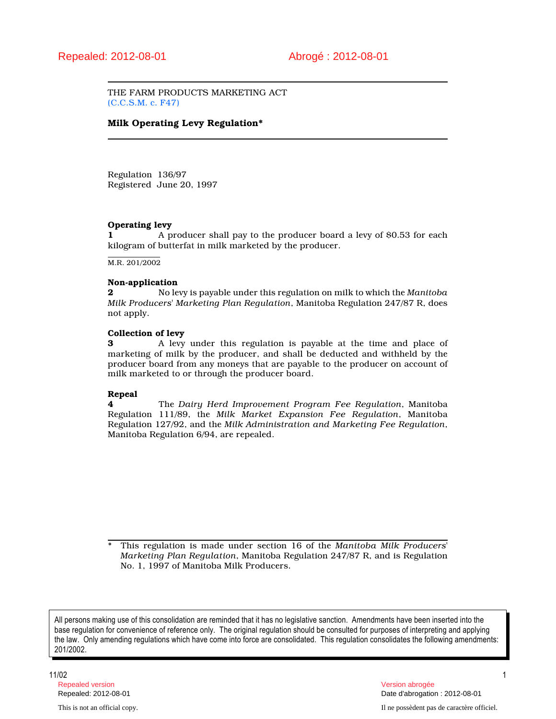THE FARM PRODUCTS MARKETING ACT (C.C.S.M. c. F47)

# Milk Operating Levy Regulation\*

Regulation 136/97 Registered June 20, 1997

### Operating levy

1 A producer shall pay to the producer board a levy of \$0.53 for each kilogram of butterfat in milk marketed by the producer.

M.R. 201/2002

#### Non-application

2 No levy is payable under this regulation on milk to which the Manitoba Milk Producers' Marketing Plan Regulation, Manitoba Regulation 247/87 R, does not apply.

# Collection of levy

3 A levy under this regulation is payable at the time and place of marketing of milk by the producer, and shall be deducted and withheld by the producer board from any moneys that are payable to the producer on account of milk marketed to or through the producer board.

#### Repeal

**4** The Dairy Herd Improvement Program Fee Regulation, Manitoba Regulation 111/89, the Milk Market Expansion Fee Regulation, Manitoba Regulation 127/92, and the Milk Administration and Marketing Fee Regulation, Manitoba Regulation 6/94, are repealed.

This regulation is made under section 16 of the Manitoba Milk Producers' Marketing Plan Regulation, Manitoba Regulation 247/87 R, and is Regulation No. 1, 1997 of Manitoba Milk Producers.

All persons making use of this consolidation are reminded that it has no legislative sanction. Amendments have been inserted into the base regulation for convenience of reference only. The original regulation should be consulted for purposes of interpreting and applying the law. Only amending regulations which have come into force are consolidated. This regulation consolidates the following amendments: 201/2002.

11/02 1 Repealed version Version abrogée

Repealed: 2012-08-01 Date d'abrogation : 2012-08-01